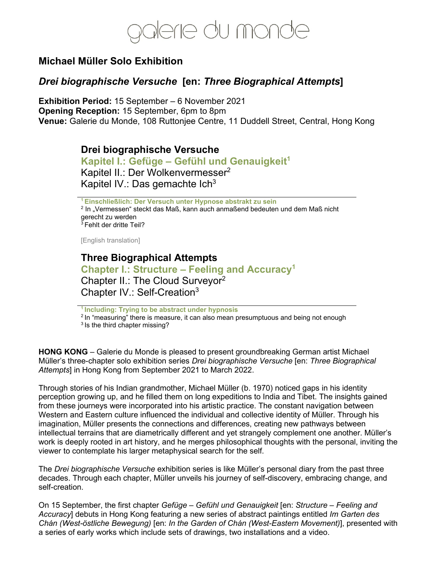# <u>elle on wou</u>

## **Michael Müller Solo Exhibition**

## *Drei biographische Versuche* **[en:** *Three Biographical Attempts***]**

**Exhibition Period:** 15 September – 6 November 2021 **Opening Reception:** 15 September, 6pm to 8pm **Venue:** Galerie du Monde, 108 Ruttonjee Centre, 11 Duddell Street, Central, Hong Kong

> **Drei biographische Versuche Kapitel I.: Gefüge – Gefühl und Genauigkeit1**  Kapitel II.: Der Wolkenvermesser2 Kapitel IV.: Das gemachte Ich $3$

**1 Einschließlich: Der Versuch unter Hypnose abstrakt zu sein** <sup>2</sup> In "Vermessen" steckt das Maß, kann auch anmaßend bedeuten und dem Maß nicht gerecht zu werden <sup>3</sup> Fehlt der dritte Teil?

[English translation]

**Three Biographical Attempts Chapter I.: Structure – Feeling and Accuracy1** Chapter II.: The Cloud Surveyor2 Chapter IV.: Self-Creation3

**1 Including: Trying to be abstract under hypnosis**

<sup>2</sup> In "measuring" there is measure, it can also mean presumptuous and being not enough

<sup>3</sup> Is the third chapter missing?

**HONG KONG** – Galerie du Monde is pleased to present groundbreaking German artist Michael Müller's three-chapter solo exhibition series *Drei biographische Versuche* [en: *Three Biographical Attempts*] in Hong Kong from September 2021 to March 2022.

Through stories of his Indian grandmother, Michael Müller (b. 1970) noticed gaps in his identity perception growing up, and he filled them on long expeditions to India and Tibet. The insights gained from these journeys were incorporated into his artistic practice. The constant navigation between Western and Eastern culture influenced the individual and collective identity of Müller. Through his imagination, Müller presents the connections and differences, creating new pathways between intellectual terrains that are diametrically different and yet strangely complement one another. Müller's work is deeply rooted in art history, and he merges philosophical thoughts with the personal, inviting the viewer to contemplate his larger metaphysical search for the self.

The *Drei biographische Versuche* exhibition series is like Müller's personal diary from the past three decades. Through each chapter, Müller unveils his journey of self-discovery, embracing change, and self-creation.

On 15 September, the first chapter *Gefüge – Gefühl und Genauigkeit* [en: *Structure – Feeling and Accuracy*] debuts in Hong Kong featuring a new series of abstract paintings entitled *Im Garten des Chán (West-östliche Bewegung)* [en: *In the Garden of Chán (West-Eastern Movement)*], presented with a series of early works which include sets of drawings, two installations and a video.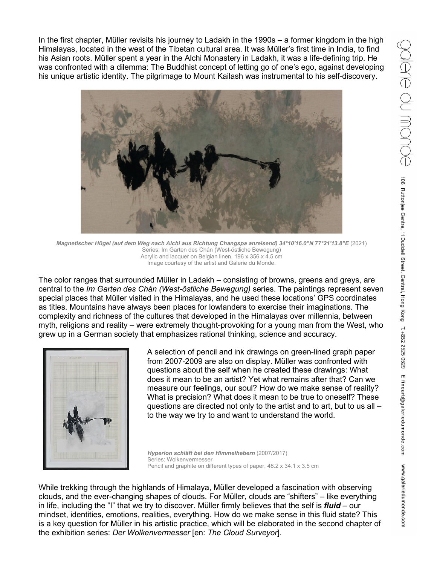JON CO BON

In the first chapter, Müller revisits his journey to Ladakh in the 1990s – a former kingdom in the high Himalayas, located in the west of the Tibetan cultural area. It was Müller's first time in India, to find his Asian roots. Müller spent a year in the Alchi Monastery in Ladakh, it was a life-defining trip. He was confronted with a dilemma: The Buddhist concept of letting go of one's ego, against developing his unique artistic identity. The pilgrimage to Mount Kailash was instrumental to his self-discovery.



*Magnetischer Hügel (auf dem Weg nach Alchi aus Richtung Changspa anreisend) 34°10'16.0"N 77°21'13.8"E* (2021) Series: Im Garten des Chán (West-östliche Bewegung) Acrylic and lacquer on Belgian linen, 196 x 356 x 4.5 cm Image courtesy of the artist and Galerie du Monde.

The color ranges that surrounded Müller in Ladakh – consisting of browns, greens and greys, are central to the *Im Garten des Chán (West-östliche Bewegung)* series. The paintings represent seven special places that Müller visited in the Himalayas, and he used these locations' GPS coordinates as titles. Mountains have always been places for lowlanders to exercise their imaginations. The complexity and richness of the cultures that developed in the Himalayas over millennia, between myth, religions and reality – were extremely thought-provoking for a young man from the West, who grew up in a German society that emphasizes rational thinking, science and accuracy.



A selection of pencil and ink drawings on green-lined graph paper from 2007-2009 are also on display. Müller was confronted with questions about the self when he created these drawings: What does it mean to be an artist? Yet what remains after that? Can we measure our feelings, our soul? How do we make sense of reality? What is precision? What does it mean to be true to oneself? These questions are directed not only to the artist and to art, but to us all – to the way we try to and want to understand the world.

*Hyperion schläft bei den Himmelhebern* (2007/2017) Series: Wolkenvermesser Pencil and graphite on different types of paper, 48.2 x 34.1 x 3.5 cm

While trekking through the highlands of Himalaya, Müller developed a fascination with observing clouds, and the ever-changing shapes of clouds. For Müller, clouds are "shifters" – like everything in life, including the "I" that we try to discover. Müller firmly believes that the self is *fluid* – our mindset, identities, emotions, realities, everything. How do we make sense in this fluid state? This is a key question for Müller in his artistic practice, which will be elaborated in the second chapter of the exhibition series: *Der Wolkenvermesser* [en: *The Cloud Surveyor*].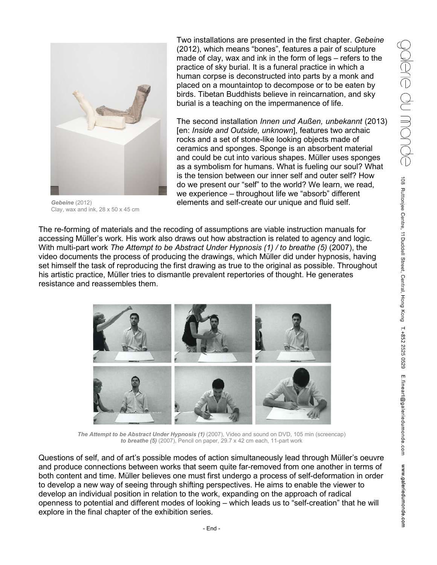T. +852 2525 0529

E.fineart@galeriedumonde.com

www.galeriedumonde.com



*Gebeine* (2012) Clay, wax and ink, 28 x 50 x 45 cm

Two installations are presented in the first chapter. *Gebeine* (2012), which means "bones", features a pair of sculpture made of clay, wax and ink in the form of legs – refers to the practice of sky burial. It is a funeral practice in which a human corpse is deconstructed into parts by a monk and placed on a mountaintop to decompose or to be eaten by birds. Tibetan Buddhists believe in reincarnation, and sky burial is a teaching on the impermanence of life.

The second installation *Innen und Außen, unbekannt* (2013) [en: *Inside and Outside, unknown*], features two archaic rocks and a set of stone-like looking objects made of ceramics and sponges. Sponge is an absorbent material and could be cut into various shapes. Müller uses sponges as a symbolism for humans. What is fueling our soul? What is the tension between our inner self and outer self? How do we present our "self" to the world? We learn, we read, we experience – throughout life we "absorb" different elements and self-create our unique and fluid self.

The re-forming of materials and the recoding of assumptions are viable instruction manuals for accessing Müller's work. His work also draws out how abstraction is related to agency and logic. With multi-part work *The Attempt to be Abstract Under Hypnosis (1) / to breathe (5) (2007)*, the video documents the process of producing the drawings, which Müller did under hypnosis, having set himself the task of reproducing the first drawing as true to the original as possible. Throughout his artistic practice, Müller tries to dismantle prevalent repertories of thought. He generates resistance and reassembles them.



*The Attempt to be Abstract Under Hypnosis (1)* (2007), Video and sound on DVD, 105 min (screencap) *to breathe (5)* (2007), Pencil on paper, 29.7 x 42 cm each, 11-part work

Questions of self, and of art's possible modes of action simultaneously lead through Müller's oeuvre and produce connections between works that seem quite far-removed from one another in terms of both content and time. Müller believes one must first undergo a process of self-deformation in order to develop a new way of seeing through shifting perspectives. He aims to enable the viewer to develop an individual position in relation to the work, expanding on the approach of radical openness to potential and different modes of looking – which leads us to "self-creation" that he will explore in the final chapter of the exhibition series.